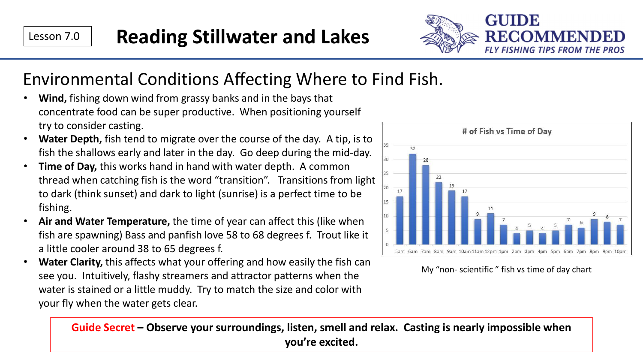

## Environmental Conditions Affecting Where to Find Fish.

- **Wind,** fishing down wind from grassy banks and in the bays that concentrate food can be super productive. When positioning yourself try to consider casting.
- **Water Depth,** fish tend to migrate over the course of the day. A tip, is to fish the shallows early and later in the day. Go deep during the mid-day.
- **Time of Day,** this works hand in hand with water depth. A common thread when catching fish is the word "transition". Transitions from light to dark (think sunset) and dark to light (sunrise) is a perfect time to be fishing.
- **Air and Water Temperature,** the time of year can affect this (like when fish are spawning) Bass and panfish love 58 to 68 degrees f. Trout like it a little cooler around 38 to 65 degrees f.
- **Water Clarity,** this affects what your offering and how easily the fish can see you. Intuitively, flashy streamers and attractor patterns when the water is stained or a little muddy. Try to match the size and color with your fly when the water gets clear.



My "non- scientific " fish vs time of day chart

**Guide Secret – Observe your surroundings, listen, smell and relax. Casting is nearly impossible when you're excited.**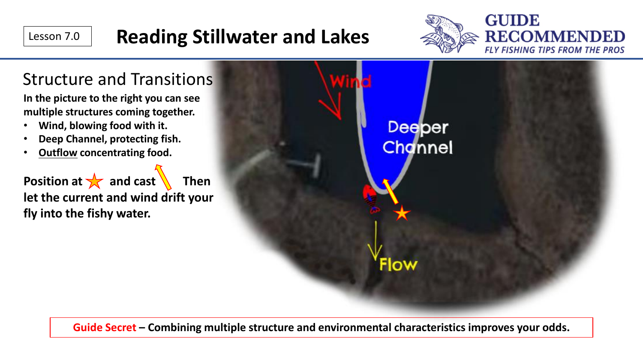

**Guide Secret – Combining multiple structure and environmental characteristics improves your odds.** 

Flow